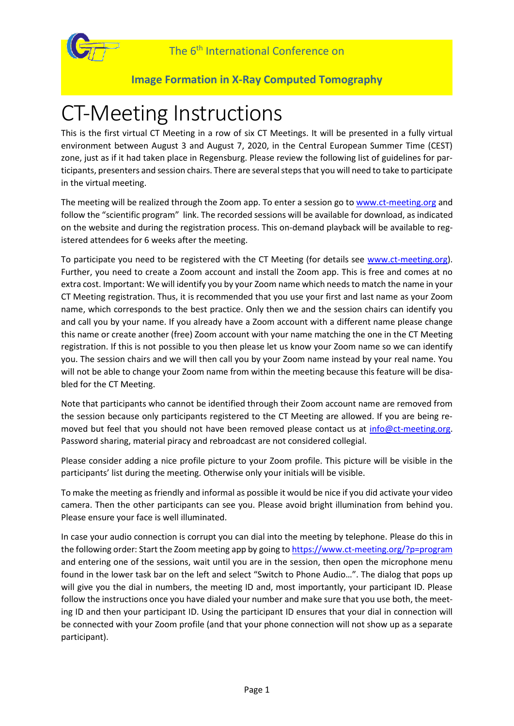



# CT-Meeting Instructions

This is the first virtual CT Meeting in a row of six CT Meetings. It will be presented in a fully virtual environment between August 3 and August 7, 2020, in the Central European Summer Time (CEST) zone, just as if it had taken place in Regensburg. Please review the following list of guidelines for participants, presenters and session chairs. There are several steps that you will need to take to participate in the virtual meeting.

The meeting will be realized through the Zoom app. To enter a session go t[o www.ct-meeting.org](http://www.ct-meeting.org/) and follow the "scientific program" link. The recorded sessions will be available for download, as indicated on the website and during the registration process. This on-demand playback will be available to registered attendees for 6 weeks after the meeting.

To participate you need to be registered with the CT Meeting (for details see [www.ct-meeting.org\)](http://www.ct-meeting.org/). Further, you need to create a Zoom account and install the Zoom app. This is free and comes at no extra cost. Important: We will identify you by your Zoom name which needs to match the name in your CT Meeting registration. Thus, it is recommended that you use your first and last name as your Zoom name, which corresponds to the best practice. Only then we and the session chairs can identify you and call you by your name. If you already have a Zoom account with a different name please change this name or create another (free) Zoom account with your name matching the one in the CT Meeting registration. If this is not possible to you then please let us know your Zoom name so we can identify you. The session chairs and we will then call you by your Zoom name instead by your real name. You will not be able to change your Zoom name from within the meeting because this feature will be disabled for the CT Meeting.

Note that participants who cannot be identified through their Zoom account name are removed from the session because only participants registered to the CT Meeting are allowed. If you are being removed but feel that you should not have been removed please contact us at [info@ct-meeting.org.](mailto:info@ct-meeting.org) Password sharing, material piracy and rebroadcast are not considered collegial.

Please consider adding a nice profile picture to your Zoom profile. This picture will be visible in the participants' list during the meeting. Otherwise only your initials will be visible.

To make the meeting as friendly and informal as possible it would be nice if you did activate your video camera. Then the other participants can see you. Please avoid bright illumination from behind you. Please ensure your face is well illuminated.

In case your audio connection is corrupt you can dial into the meeting by telephone. Please do this in the following order: Start the Zoom meeting app by going t[o https://www.ct-meeting.org/?p=program](https://www.ct-meeting.org/?p=program) and entering one of the sessions, wait until you are in the session, then open the microphone menu found in the lower task bar on the left and select "Switch to Phone Audio…". The dialog that pops up will give you the dial in numbers, the meeting ID and, most importantly, your participant ID. Please follow the instructions once you have dialed your number and make sure that you use both, the meeting ID and then your participant ID. Using the participant ID ensures that your dial in connection will be connected with your Zoom profile (and that your phone connection will not show up as a separate participant).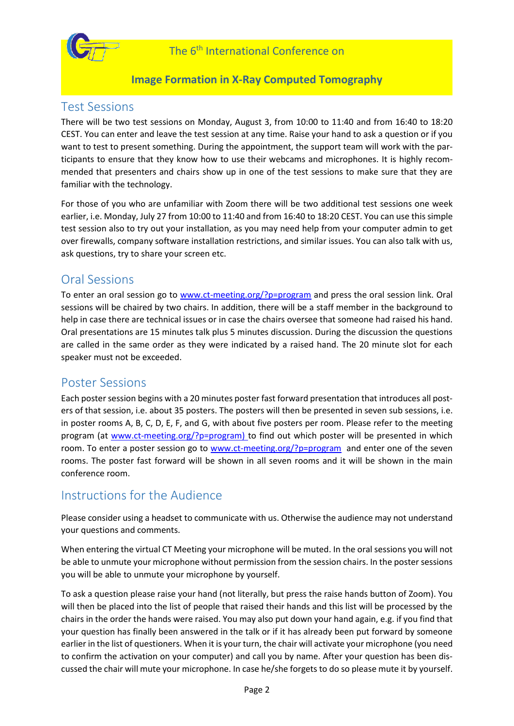

## Test Sessions

There will be two test sessions on Monday, August 3, from 10:00 to 11:40 and from 16:40 to 18:20 CEST. You can enter and leave the test session at any time. Raise your hand to ask a question or if you want to test to present something. During the appointment, the support team will work with the participants to ensure that they know how to use their webcams and microphones. It is highly recommended that presenters and chairs show up in one of the test sessions to make sure that they are familiar with the technology.

For those of you who are unfamiliar with Zoom there will be two additional test sessions one week earlier, i.e. Monday, July 27 from 10:00 to 11:40 and from 16:40 to 18:20 CEST. You can use this simple test session also to try out your installation, as you may need help from your computer admin to get over firewalls, company software installation restrictions, and similar issues. You can also talk with us, ask questions, try to share your screen etc.

## Oral Sessions

To enter an oral session go to [www.ct-meeting.org/?p=program](http://www.ct-meeting.org/?p=program) and press the oral session link. Oral sessions will be chaired by two chairs. In addition, there will be a staff member in the background to help in case there are technical issues or in case the chairs oversee that someone had raised his hand. Oral presentations are 15 minutes talk plus 5 minutes discussion. During the discussion the questions are called in the same order as they were indicated by a raised hand. The 20 minute slot for each speaker must not be exceeded.

## Poster Sessions

Each poster session begins with a 20 minutes poster fast forward presentation that introduces all posters of that session, i.e. about 35 posters. The posters will then be presented in seven sub sessions, i.e. in poster rooms A, B, C, D, E, F, and G, with about five posters per room. Please refer to the meeting program (at [www.ct-meeting.org/?p=program\)](http://www.ct-meeting.org/?p=program) to find out which poster will be presented in which room. To enter a poster session go to [www.ct-meeting.org/?p=program](http://www.ct-meeting.org/?p=program) and enter one of the seven rooms. The poster fast forward will be shown in all seven rooms and it will be shown in the main conference room.

# Instructions for the Audience

Please consider using a headset to communicate with us. Otherwise the audience may not understand your questions and comments.

When entering the virtual CT Meeting your microphone will be muted. In the oral sessions you will not be able to unmute your microphone without permission from the session chairs. In the poster sessions you will be able to unmute your microphone by yourself.

To ask a question please raise your hand (not literally, but press the raise hands button of Zoom). You will then be placed into the list of people that raised their hands and this list will be processed by the chairs in the order the hands were raised. You may also put down your hand again, e.g. if you find that your question has finally been answered in the talk or if it has already been put forward by someone earlier in the list of questioners. When it is your turn, the chair will activate your microphone (you need to confirm the activation on your computer) and call you by name. After your question has been discussed the chair will mute your microphone. In case he/she forgets to do so please mute it by yourself.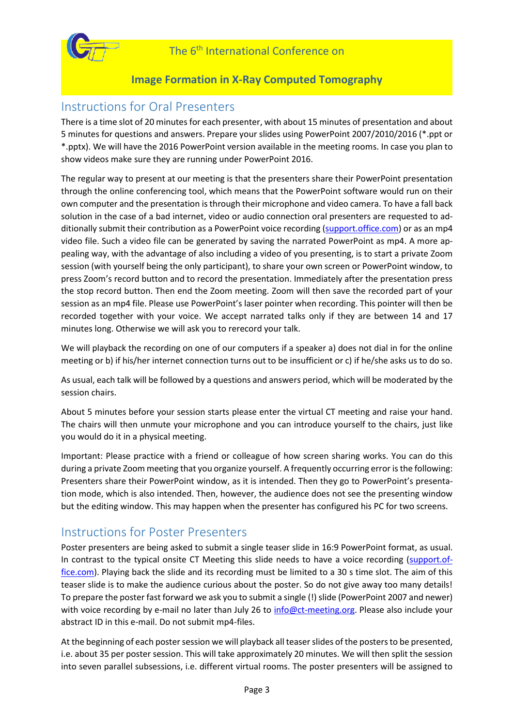

## Instructions for Oral Presenters

There is a time slot of 20 minutes for each presenter, with about 15 minutes of presentation and about 5 minutes for questions and answers. Prepare your slides using PowerPoint 2007/2010/2016 (\*.ppt or \*.pptx). We will have the 2016 PowerPoint version available in the meeting rooms. In case you plan to show videos make sure they are running under PowerPoint 2016.

The regular way to present at our meeting is that the presenters share their PowerPoint presentation through the online conferencing tool, which means that the PowerPoint software would run on their own computer and the presentation is through their microphone and video camera. To have a fall back solution in the case of a bad internet, video or audio connection oral presenters are requested to additionally submit their contribution as a PowerPoint voice recording [\(support.office.com\)](https://support.office.com/en-us/article/Record-a-slide-show-with-narration-and-slide-timings-0B9502C6-5F6C-40AE-B1E7-E47D8741161C) or as an mp4 video file. Such a video file can be generated by saving the narrated PowerPoint as mp4. A more appealing way, with the advantage of also including a video of you presenting, is to start a private Zoom session (with yourself being the only participant), to share your own screen or PowerPoint window, to press Zoom's record button and to record the presentation. Immediately after the presentation press the stop record button. Then end the Zoom meeting. Zoom will then save the recorded part of your session as an mp4 file. Please use PowerPoint's laser pointer when recording. This pointer will then be recorded together with your voice. We accept narrated talks only if they are between 14 and 17 minutes long. Otherwise we will ask you to rerecord your talk.

We will playback the recording on one of our computers if a speaker a) does not dial in for the online meeting or b) if his/her internet connection turns out to be insufficient or c) if he/she asks us to do so.

As usual, each talk will be followed by a questions and answers period, which will be moderated by the session chairs.

About 5 minutes before your session starts please enter the virtual CT meeting and raise your hand. The chairs will then unmute your microphone and you can introduce yourself to the chairs, just like you would do it in a physical meeting.

Important: Please practice with a friend or colleague of how screen sharing works. You can do this during a private Zoom meeting that you organize yourself. A frequently occurring error is the following: Presenters share their PowerPoint window, as it is intended. Then they go to PowerPoint's presentation mode, which is also intended. Then, however, the audience does not see the presenting window but the editing window. This may happen when the presenter has configured his PC for two screens.

## Instructions for Poster Presenters

Poster presenters are being asked to submit a single teaser slide in 16:9 PowerPoint format, as usual. In contrast to the typical onsite CT Meeting this slide needs to have a voice recording [\(support.of](https://support.office.com/en-us/article/Record-a-slide-show-with-narration-and-slide-timings-0B9502C6-5F6C-40AE-B1E7-E47D8741161C)[fice.com\)](https://support.office.com/en-us/article/Record-a-slide-show-with-narration-and-slide-timings-0B9502C6-5F6C-40AE-B1E7-E47D8741161C). Playing back the slide and its recording must be limited to a 30 s time slot. The aim of this teaser slide is to make the audience curious about the poster. So do not give away too many details! To prepare the poster fast forward we ask you to submit a single (!) slide (PowerPoint 2007 and newer) with voice recording by e-mail no later than July 26 to [info@ct-meeting.org.](mailto:info@ct-meeting.org) Please also include your abstract ID in this e-mail. Do not submit mp4-files.

At the beginning of each poster session we will playback all teaserslides of the posters to be presented, i.e. about 35 per poster session. This will take approximately 20 minutes. We will then split the session into seven parallel subsessions, i.e. different virtual rooms. The poster presenters will be assigned to